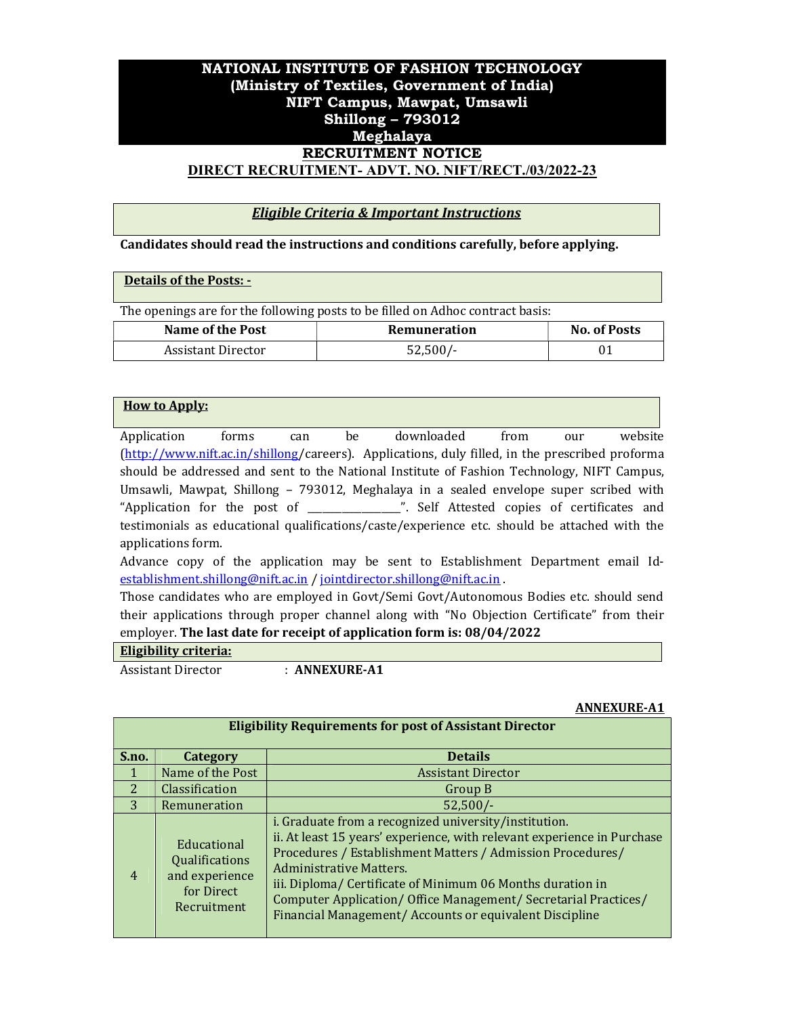# NATIONAL INSTITUTE OF FASHION TECHNOLOGY (Ministry of Textiles, Government of India) NIFT Campus, Mawpat, Umsawli Shillong – 793012 Meghalaya RECRUITMENT NOTICE DIRECT RECRUITMENT- ADVT. NO. NIFT/RECT./03/2022-23

## Eligible Criteria & Important Instructions

### Candidates should read the instructions and conditions carefully, before applying.

### Details of the Posts: -

The openings are for the following posts to be filled on Adhoc contract basis:

| <b>Name of the Post</b> | Remuneration | <b>No. of Posts</b> |
|-------------------------|--------------|---------------------|
| Assistant Director      | $52,500/-$   |                     |

### How to Apply:

Application forms can be downloaded from our website (http://www.nift.ac.in/shillong/careers). Applications, duly filled, in the prescribed proforma should be addressed and sent to the National Institute of Fashion Technology, NIFT Campus, Umsawli, Mawpat, Shillong – 793012, Meghalaya in a sealed envelope super scribed with "Application for the post of \_\_\_\_\_\_\_\_\_\_\_\_\_\_\_\_\_\_\_". Self Attested copies of certificates and testimonials as educational qualifications/caste/experience etc. should be attached with the applications form.

Advance copy of the application may be sent to Establishment Department email Idestablishment.shillong@nift.ac.in / jointdirector.shillong@nift.ac.in .

Those candidates who are employed in Govt/Semi Govt/Autonomous Bodies etc. should send their applications through proper channel along with "No Objection Certificate" from their employer. The last date for receipt of application form is: 08/04/2022

#### Eligibility criteria:

Assistant Director : **ANNEXURE-A1** 

#### ANNEXURE-A1

| <b>Eligibility Requirements for post of Assistant Director</b> |                                                                              |                                                                                                                                                                                                                                                                                                                                                                                                                       |
|----------------------------------------------------------------|------------------------------------------------------------------------------|-----------------------------------------------------------------------------------------------------------------------------------------------------------------------------------------------------------------------------------------------------------------------------------------------------------------------------------------------------------------------------------------------------------------------|
| S.no.                                                          | Category                                                                     | <b>Details</b>                                                                                                                                                                                                                                                                                                                                                                                                        |
|                                                                | Name of the Post                                                             | <b>Assistant Director</b>                                                                                                                                                                                                                                                                                                                                                                                             |
| $\mathcal{P}$                                                  | Classification                                                               | Group B                                                                                                                                                                                                                                                                                                                                                                                                               |
| 3                                                              | Remuneration                                                                 | $52,500/-$                                                                                                                                                                                                                                                                                                                                                                                                            |
| $\overline{4}$                                                 | Educational<br>Qualifications<br>and experience<br>for Direct<br>Recruitment | i. Graduate from a recognized university/institution.<br>ii. At least 15 years' experience, with relevant experience in Purchase<br>Procedures / Establishment Matters / Admission Procedures/<br>Administrative Matters.<br>iii. Diploma/ Certificate of Minimum 06 Months duration in<br>Computer Application/ Office Management/ Secretarial Practices/<br>Financial Management/ Accounts or equivalent Discipline |